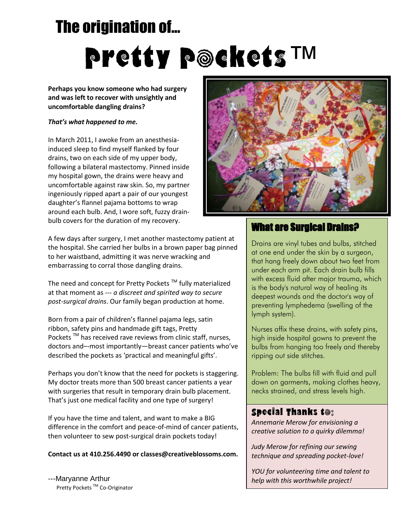# The origination of… Pretty Pockets™

**Perhaps you know someone who had surgery and was left to recover with unsightly and uncomfortable dangling drains?**

#### *That's what happened to me.*

In March 2011, I awoke from an anesthesiainduced sleep to find myself flanked by four drains, two on each side of my upper body, following a bilateral mastectomy. Pinned inside my hospital gown, the drains were heavy and uncomfortable against raw skin. So, my partner ingeniously ripped apart a pair of our youngest daughter's flannel pajama bottoms to wrap around each bulb. And, I wore soft, fuzzy drainbulb covers for the duration of my recovery.

A few days after surgery, I met another mastectomy patient at the hospital. She carried her bulbs in a brown paper bag pinned to her waistband, admitting it was nerve wracking and embarrassing to corral those dangling drains.

The need and concept for Pretty Pockets  $TM$  fully materialized at that moment as *--- a discreet and spirited way to secure post-surgical drains*. Our family began production at home.

Born from a pair of children's flannel pajama legs, satin ribbon, safety pins and handmade gift tags, Pretty Pockets<sup>™</sup> has received rave reviews from clinic staff, nurses, doctors and–-most importantly—breast cancer patients who've described the pockets as 'practical and meaningful gifts'.

Perhaps you don't know that the need for pockets is staggering. My doctor treats more than 500 breast cancer patients a year with surgeries that result in temporary drain bulb placement. That's just one medical facility and one type of surgery!

If you have the time and talent, and want to make a BIG difference in the comfort and peace-of-mind of cancer patients, then volunteer to sew post-surgical drain pockets today!

#### **Contact us at 410.256.4490 or classes@creativeblossoms.com.**

---Maryanne Arthur Pretty Pockets<sup>™</sup> Co-Originator



### What are Surgical Drains?

Drains are vinyl tubes and bulbs, stitched at one end under the skin by a surgeon, that hang freely down about two feet from under each arm pit. Each drain bulb fills with excess fluid after major trauma, which is the body's natural way of healing its deepest wounds and the doctor's way of preventing lymphedema (swelling of the lymph system).

Nurses affix these drains, with safety pins, high inside hospital gowns to prevent the bulbs from hanging too freely and thereby ripping out side stitches.

Problem: The bulbs fill with fluid and pull down on garments, making clothes heavy, necks strained, and stress levels high.

### Special Thanks to:

*Annemarie Merow for envisioning a creative solution to a quirky dilemma!*

*Judy Merow for refining our sewing technique and spreading pocket-love!*

*YOU for volunteering time and talent to help with this worthwhile project!*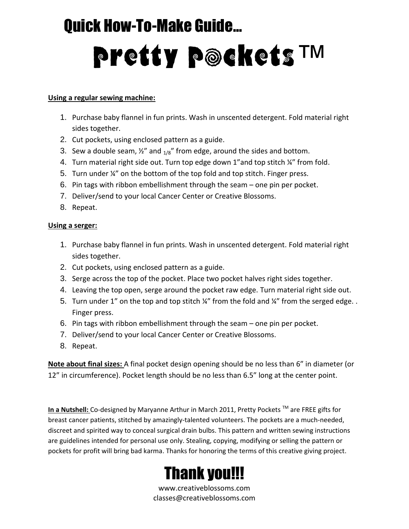# Quick How-To-Make Guide… Pretty Pockets™

### **Using a regular sewing machine:**

- 1. Purchase baby flannel in fun prints. Wash in unscented detergent. Fold material right sides together.
- 2. Cut pockets, using enclosed pattern as a guide.
- 3. Sew a double seam,  $\frac{1}{2}$  and  $\frac{1}{8}$  from edge, around the sides and bottom.
- 4. Turn material right side out. Turn top edge down 1"and top stitch ¼" from fold.
- 5. Turn under ¼" on the bottom of the top fold and top stitch. Finger press.
- 6. Pin tags with ribbon embellishment through the seam one pin per pocket.
- 7. Deliver/send to your local Cancer Center or Creative Blossoms.
- 8. Repeat.

### **Using a serger:**

- 1. Purchase baby flannel in fun prints. Wash in unscented detergent. Fold material right sides together.
- 2. Cut pockets, using enclosed pattern as a guide.
- 3. Serge across the top of the pocket. Place two pocket halves right sides together.
- 4. Leaving the top open, serge around the pocket raw edge. Turn material right side out.
- 5. Turn under 1" on the top and top stitch ¼" from the fold and ¼" from the serged edge.. Finger press.
- 6. Pin tags with ribbon embellishment through the seam one pin per pocket.
- 7. Deliver/send to your local Cancer Center or Creative Blossoms.
- 8. Repeat.

**Note about final sizes:** A final pocket design opening should be no less than 6" in diameter (or 12" in circumference). Pocket length should be no less than 6.5" long at the center point.

In a Nutshell: Co-designed by Maryanne Arthur in March 2011, Pretty Pockets<sup>™</sup> are FREE gifts for breast cancer patients, stitched by amazingly-talented volunteers. The pockets are a much-needed, discreet and spirited way to conceal surgical drain bulbs. This pattern and written sewing instructions are guidelines intended for personal use only. Stealing, copying, modifying or selling the pattern or pockets for profit will bring bad karma. Thanks for honoring the terms of this creative giving project.



www.creativeblossoms.com classes@creativeblossoms.com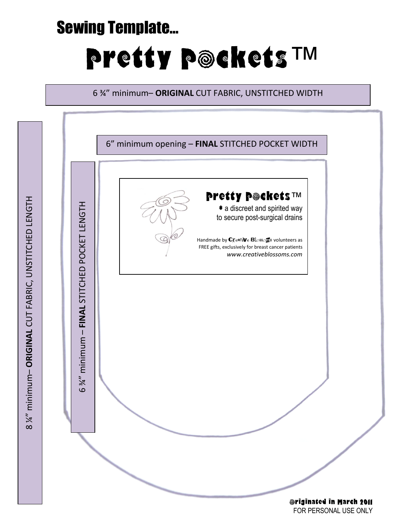# Sewing Template…

# Pretty Pockets™

6 ¾" minimum– **ORIGINAL** CUT FABRIC, UNSTITCHED WIDTH



FOR PERSONAL USE ONLY